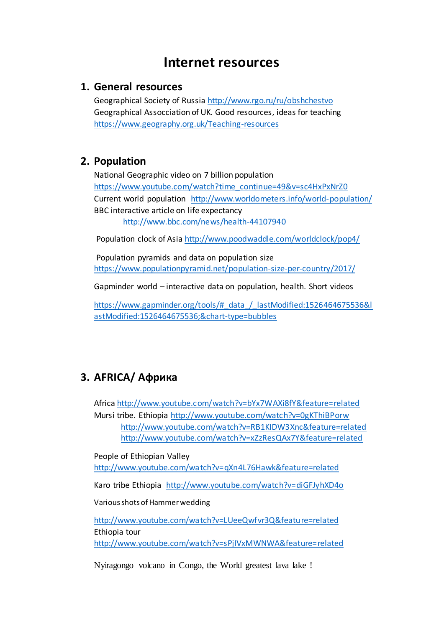# **Internet resources**

### **1. General resources**

Geographical Society of Russi[a http://www.rgo.ru/ru/obshchestvo](http://www.rgo.ru/ru/obshchestvo) Geographical Assocciation of UK. Good resources, ideas for teaching <https://www.geography.org.uk/Teaching-resources>

### **2. Population**

National Geographic video on 7 billion population [https://www.youtube.com/watch?time\\_continue=49&v=sc4HxPxNrZ0](https://www.youtube.com/watch?time_continue=49&v=sc4HxPxNrZ0) Current world population <http://www.worldometers.info/world-population/> BBC interactive article on life expectancy <http://www.bbc.com/news/health-44107940>

Population clock of Asi[a http://www.poodwaddle.com/worldclock/pop4/](http://www.poodwaddle.com/worldclock/pop4/)

Population pyramids and data on population size <https://www.populationpyramid.net/population-size-per-country/2017/>

Gapminder world – interactive data on population, health. Short videos

[https://www.gapminder.org/tools/#\\_data\\_/\\_lastModified:1526464675536&l](https://www.gapminder.org/tools/#_data_/_lastModified:1526464675536&lastModified:1526464675536;&chart-type=bubbles) [astModified:1526464675536;&chart-type=bubbles](https://www.gapminder.org/tools/#_data_/_lastModified:1526464675536&lastModified:1526464675536;&chart-type=bubbles)

# **3. AFRICA/ Африка**

Africa<http://www.youtube.com/watch?v=bYx7WAXi8fY&feature=related> Mursi tribe. Ethiopia <http://www.youtube.com/watch?v=0gKThiBPorw> <http://www.youtube.com/watch?v=RB1KIDW3Xnc&feature=related> <http://www.youtube.com/watch?v=xZzResQAx7Y&feature=related>

People of Ethiopian Valley <http://www.youtube.com/watch?v=qXn4L76Hawk&feature=related> Karo tribe Ethiopia <http://www.youtube.com/watch?v=diGFJyhXD4o>

#### Various shots of Hammer wedding

<http://www.youtube.com/watch?v=LUeeQwfvr3Q&feature=related> Ethiopia tour <http://www.youtube.com/watch?v=sPjIVxMWNWA&feature=related>

Nyiragongo volcano in Congo, the World greatest lava lake !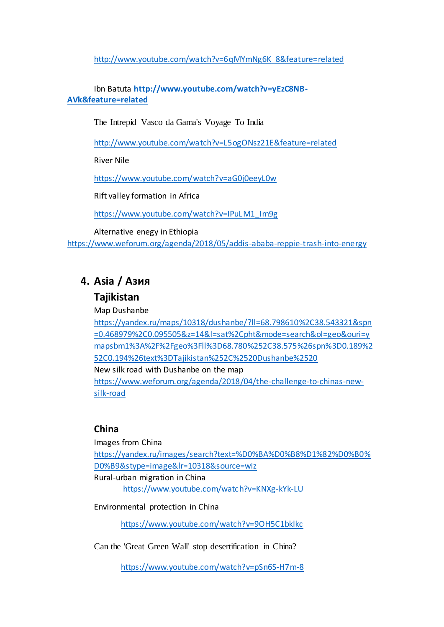[http://www.youtube.com/watch?v=6qMYmNg6K\\_8&feature=related](http://www.youtube.com/watch?v=6qMYmNg6K_8&feature=related)

Ibn Batuta **[http://www.youtube.com/watch?v=yEzC8NB-](http://www.youtube.com/watch?v=yEzC8NB-AVk&feature=related)[AVk&feature=related](http://www.youtube.com/watch?v=yEzC8NB-AVk&feature=related)**

The Intrepid Vasco da Gama's Voyage To India

<http://www.youtube.com/watch?v=L5ogONsz21E&feature=related>

River Nile

<https://www.youtube.com/watch?v=aG0j0eeyL0w>

Rift valley formation in Africa

[https://www.youtube.com/watch?v=IPuLM1\\_Im9g](https://www.youtube.com/watch?v=IPuLM1_Im9g)

Alternative enegy in Ethiopia

<https://www.weforum.org/agenda/2018/05/addis-ababa-reppie-trash-into-energy>

# **4. Asia / Азия**

#### **Tajikistan**

Map Dushanbe

[https://yandex.ru/maps/10318/dushanbe/?ll=68.798610%2C38.543321&spn](https://yandex.ru/maps/10318/dushanbe/?ll=68.798610%2C38.543321&spn=0.468979%2C0.095505&z=14&l=sat%2Cpht&mode=search&ol=geo&ouri=ymapsbm1%3A%2F%2Fgeo%3Fll%3D68.780%252C38.575%26spn%3D0.189%252C0.194%26text%3DTajikistan%252C%2520Dushanbe%2520) [=0.468979%2C0.095505&z=14&l=sat%2Cpht&mode=search&ol=geo&ouri=y](https://yandex.ru/maps/10318/dushanbe/?ll=68.798610%2C38.543321&spn=0.468979%2C0.095505&z=14&l=sat%2Cpht&mode=search&ol=geo&ouri=ymapsbm1%3A%2F%2Fgeo%3Fll%3D68.780%252C38.575%26spn%3D0.189%252C0.194%26text%3DTajikistan%252C%2520Dushanbe%2520) [mapsbm1%3A%2F%2Fgeo%3Fll%3D68.780%252C38.575%26spn%3D0.189%2](https://yandex.ru/maps/10318/dushanbe/?ll=68.798610%2C38.543321&spn=0.468979%2C0.095505&z=14&l=sat%2Cpht&mode=search&ol=geo&ouri=ymapsbm1%3A%2F%2Fgeo%3Fll%3D68.780%252C38.575%26spn%3D0.189%252C0.194%26text%3DTajikistan%252C%2520Dushanbe%2520) [52C0.194%26text%3DTajikistan%252C%2520Dushanbe%2520](https://yandex.ru/maps/10318/dushanbe/?ll=68.798610%2C38.543321&spn=0.468979%2C0.095505&z=14&l=sat%2Cpht&mode=search&ol=geo&ouri=ymapsbm1%3A%2F%2Fgeo%3Fll%3D68.780%252C38.575%26spn%3D0.189%252C0.194%26text%3DTajikistan%252C%2520Dushanbe%2520)

New silk road with Dushanbe on the map

[https://www.weforum.org/agenda/2018/04/the-challenge-to-chinas-new](https://www.weforum.org/agenda/2018/04/the-challenge-to-chinas-new-silk-road)[silk-road](https://www.weforum.org/agenda/2018/04/the-challenge-to-chinas-new-silk-road)

### **China**

Images from China

[https://yandex.ru/images/search?text=%D0%BA%D0%B8%D1%82%D0%B0%](https://yandex.ru/images/search?text=%D0%BA%D0%B8%D1%82%D0%B0%D0%B9&stype=image&lr=10318&source=wiz) [D0%B9&stype=image&lr=10318&source=wiz](https://yandex.ru/images/search?text=%D0%BA%D0%B8%D1%82%D0%B0%D0%B9&stype=image&lr=10318&source=wiz)

#### Rural-urban migration in China

<https://www.youtube.com/watch?v=KNXg-kYk-LU>

Environmental protection in China

<https://www.youtube.com/watch?v=9OH5C1bklkc>

Can the 'Great Green Wall' stop desertification in China?

<https://www.youtube.com/watch?v=pSn6S-H7m-8>